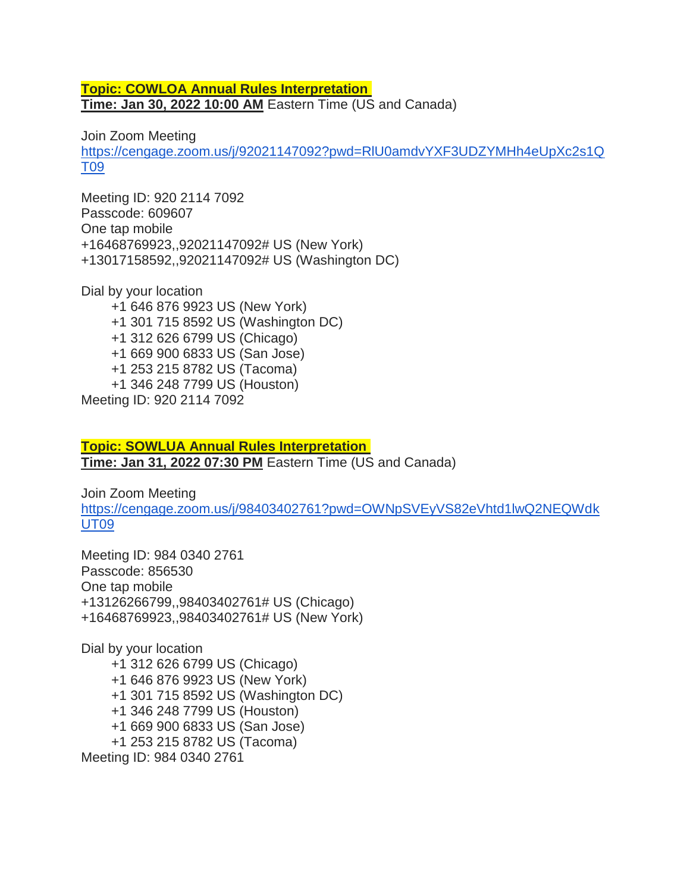## **Topic: COWLOA Annual Rules Interpretation Time: Jan 30, 2022 10:00 AM** Eastern Time (US and Canada)

Join Zoom Meeting

[https://cengage.zoom.us/j/92021147092?pwd=RlU0amdvYXF3UDZYMHh4eUpXc2s1Q](https://cengage.zoom.us/j/92021147092?pwd=RlU0amdvYXF3UDZYMHh4eUpXc2s1QT09) [T09](https://cengage.zoom.us/j/92021147092?pwd=RlU0amdvYXF3UDZYMHh4eUpXc2s1QT09)

Meeting ID: 920 2114 7092 Passcode: 609607 One tap mobile +16468769923,,92021147092# US (New York) +13017158592,,92021147092# US (Washington DC)

Dial by your location

+1 646 876 9923 US (New York) +1 301 715 8592 US (Washington DC) +1 312 626 6799 US (Chicago) +1 669 900 6833 US (San Jose) +1 253 215 8782 US (Tacoma) +1 346 248 7799 US (Houston) Meeting ID: 920 2114 7092

**Topic: SOWLUA Annual Rules Interpretation Time: Jan 31, 2022 07:30 PM** Eastern Time (US and Canada)

Join Zoom Meeting [https://cengage.zoom.us/j/98403402761?pwd=OWNpSVEyVS82eVhtd1lwQ2NEQWdk](https://cengage.zoom.us/j/98403402761?pwd=OWNpSVEyVS82eVhtd1lwQ2NEQWdkUT09) [UT09](https://cengage.zoom.us/j/98403402761?pwd=OWNpSVEyVS82eVhtd1lwQ2NEQWdkUT09)

Meeting ID: 984 0340 2761 Passcode: 856530 One tap mobile +13126266799,,98403402761# US (Chicago) +16468769923,,98403402761# US (New York)

Dial by your location +1 312 626 6799 US (Chicago) +1 646 876 9923 US (New York) +1 301 715 8592 US (Washington DC) +1 346 248 7799 US (Houston) +1 669 900 6833 US (San Jose) +1 253 215 8782 US (Tacoma) Meeting ID: 984 0340 2761